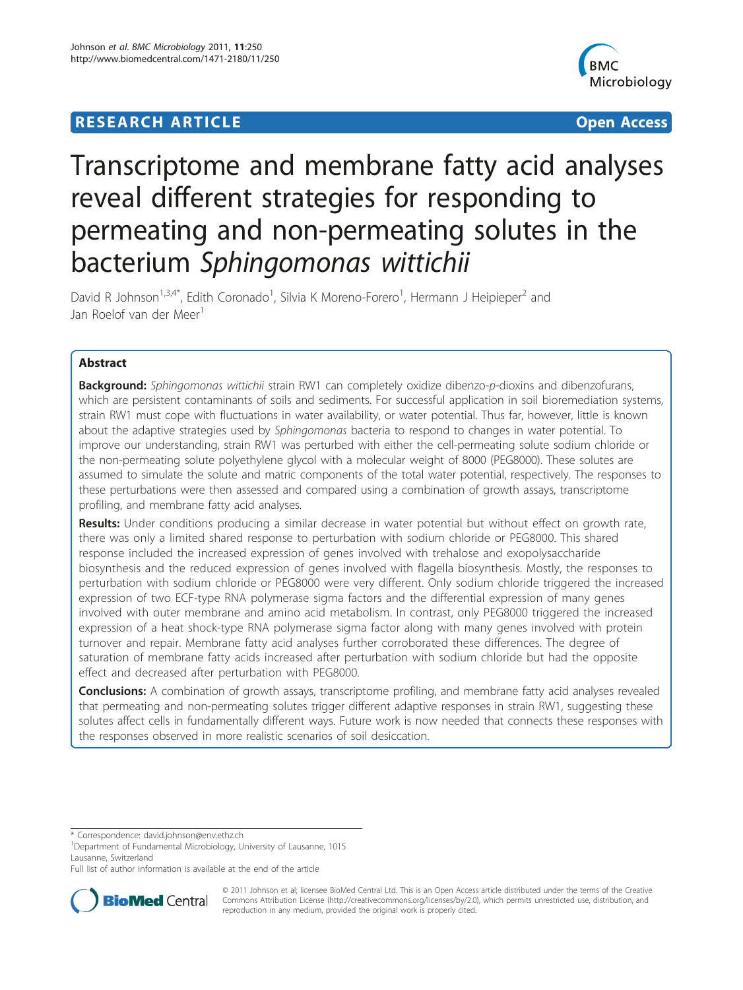## **RESEARCH ARTICLE External Structure Control Control Control Control Control Control Control Control Control Control Control Control Control Control Control Control Control Control Control Control Control Control Control**



# Transcriptome and membrane fatty acid analyses reveal different strategies for responding to permeating and non-permeating solutes in the bacterium Sphingomonas wittichii

David R Johnson<sup>1,3,4\*</sup>, Edith Coronado<sup>1</sup>, Silvia K Moreno-Forero<sup>1</sup>, Hermann J Heipieper<sup>2</sup> and Jan Roelof van der Meer<sup>1</sup>

## Abstract

Background: Sphingomonas wittichii strain RW1 can completely oxidize dibenzo-p-dioxins and dibenzofurans, which are persistent contaminants of soils and sediments. For successful application in soil bioremediation systems, strain RW1 must cope with fluctuations in water availability, or water potential. Thus far, however, little is known about the adaptive strategies used by Sphingomonas bacteria to respond to changes in water potential. To improve our understanding, strain RW1 was perturbed with either the cell-permeating solute sodium chloride or the non-permeating solute polyethylene glycol with a molecular weight of 8000 (PEG8000). These solutes are assumed to simulate the solute and matric components of the total water potential, respectively. The responses to these perturbations were then assessed and compared using a combination of growth assays, transcriptome profiling, and membrane fatty acid analyses.

Results: Under conditions producing a similar decrease in water potential but without effect on growth rate, there was only a limited shared response to perturbation with sodium chloride or PEG8000. This shared response included the increased expression of genes involved with trehalose and exopolysaccharide biosynthesis and the reduced expression of genes involved with flagella biosynthesis. Mostly, the responses to perturbation with sodium chloride or PEG8000 were very different. Only sodium chloride triggered the increased expression of two ECF-type RNA polymerase sigma factors and the differential expression of many genes involved with outer membrane and amino acid metabolism. In contrast, only PEG8000 triggered the increased expression of a heat shock-type RNA polymerase sigma factor along with many genes involved with protein turnover and repair. Membrane fatty acid analyses further corroborated these differences. The degree of saturation of membrane fatty acids increased after perturbation with sodium chloride but had the opposite effect and decreased after perturbation with PEG8000.

**Conclusions:** A combination of growth assays, transcriptome profiling, and membrane fatty acid analyses revealed that permeating and non-permeating solutes trigger different adaptive responses in strain RW1, suggesting these solutes affect cells in fundamentally different ways. Future work is now needed that connects these responses with the responses observed in more realistic scenarios of soil desiccation.

\* Correspondence: [david.johnson@env.ethz.ch](mailto:david.johnson@env.ethz.ch)

<sup>1</sup>Department of Fundamental Microbiology, University of Lausanne, 1015 Lausanne, Switzerland

Full list of author information is available at the end of the article



© 2011 Johnson et al; licensee BioMed Central Ltd. This is an Open Access article distributed under the terms of the Creative Commons Attribution License [\(http://creativecommons.org/licenses/by/2.0](http://creativecommons.org/licenses/by/2.0)), which permits unrestricted use, distribution, and reproduction in any medium, provided the original work is properly cited.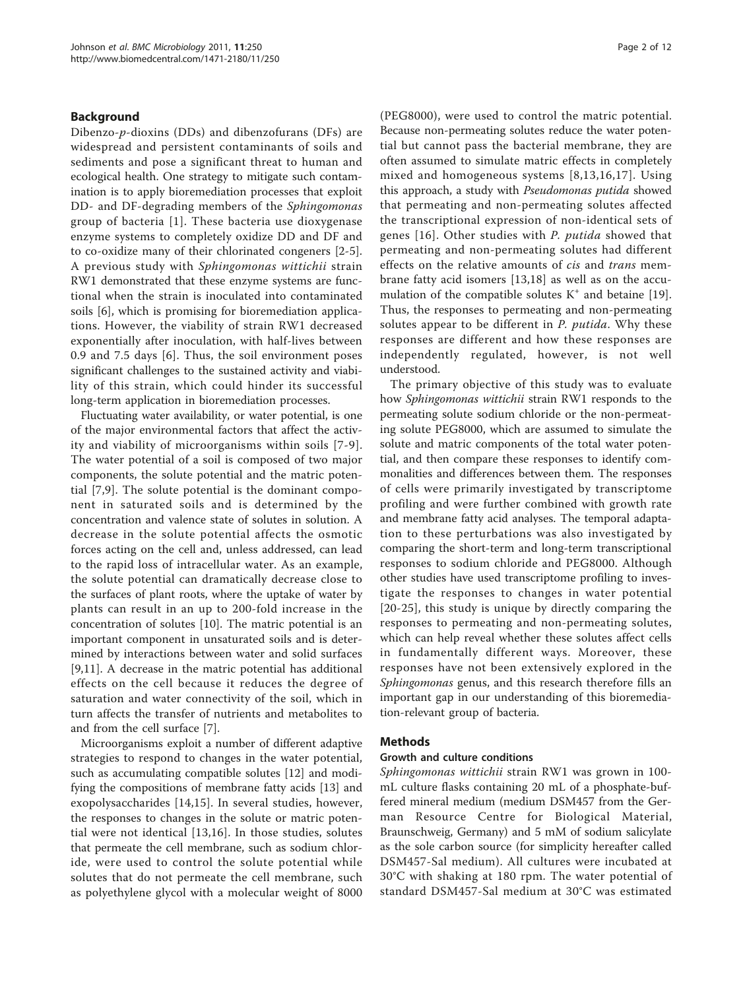#### Background

Dibenzo-p-dioxins (DDs) and dibenzofurans (DFs) are widespread and persistent contaminants of soils and sediments and pose a significant threat to human and ecological health. One strategy to mitigate such contamination is to apply bioremediation processes that exploit DD- and DF-degrading members of the Sphingomonas group of bacteria [[1](#page-10-0)]. These bacteria use dioxygenase enzyme systems to completely oxidize DD and DF and to co-oxidize many of their chlorinated congeners [[2-5](#page-10-0)]. A previous study with Sphingomonas wittichii strain RW1 demonstrated that these enzyme systems are functional when the strain is inoculated into contaminated soils [\[6](#page-10-0)], which is promising for bioremediation applications. However, the viability of strain RW1 decreased exponentially after inoculation, with half-lives between 0.9 and 7.5 days [[6](#page-10-0)]. Thus, the soil environment poses significant challenges to the sustained activity and viability of this strain, which could hinder its successful long-term application in bioremediation processes.

Fluctuating water availability, or water potential, is one of the major environmental factors that affect the activity and viability of microorganisms within soils [[7-9\]](#page-10-0). The water potential of a soil is composed of two major components, the solute potential and the matric potential [[7,9](#page-10-0)]. The solute potential is the dominant component in saturated soils and is determined by the concentration and valence state of solutes in solution. A decrease in the solute potential affects the osmotic forces acting on the cell and, unless addressed, can lead to the rapid loss of intracellular water. As an example, the solute potential can dramatically decrease close to the surfaces of plant roots, where the uptake of water by plants can result in an up to 200-fold increase in the concentration of solutes [\[10](#page-10-0)]. The matric potential is an important component in unsaturated soils and is determined by interactions between water and solid surfaces [[9,11](#page-10-0)]. A decrease in the matric potential has additional effects on the cell because it reduces the degree of saturation and water connectivity of the soil, which in turn affects the transfer of nutrients and metabolites to and from the cell surface [\[7\]](#page-10-0).

Microorganisms exploit a number of different adaptive strategies to respond to changes in the water potential, such as accumulating compatible solutes [\[12](#page-10-0)] and modifying the compositions of membrane fatty acids [\[13](#page-10-0)] and exopolysaccharides [\[14](#page-10-0),[15\]](#page-10-0). In several studies, however, the responses to changes in the solute or matric potential were not identical [[13,16](#page-10-0)]. In those studies, solutes that permeate the cell membrane, such as sodium chloride, were used to control the solute potential while solutes that do not permeate the cell membrane, such as polyethylene glycol with a molecular weight of 8000

(PEG8000), were used to control the matric potential. Because non-permeating solutes reduce the water potential but cannot pass the bacterial membrane, they are often assumed to simulate matric effects in completely mixed and homogeneous systems [[8](#page-10-0),[13](#page-10-0),[16](#page-10-0),[17](#page-10-0)]. Using this approach, a study with Pseudomonas putida showed that permeating and non-permeating solutes affected the transcriptional expression of non-identical sets of genes [[16](#page-10-0)]. Other studies with P. putida showed that permeating and non-permeating solutes had different effects on the relative amounts of cis and trans membrane fatty acid isomers [[13,18](#page-10-0)] as well as on the accumulation of the compatible solutes  $K^+$  and betaine [\[19](#page-10-0)]. Thus, the responses to permeating and non-permeating solutes appear to be different in P. *putida*. Why these responses are different and how these responses are independently regulated, however, is not well understood.

The primary objective of this study was to evaluate how Sphingomonas wittichii strain RW1 responds to the permeating solute sodium chloride or the non-permeating solute PEG8000, which are assumed to simulate the solute and matric components of the total water potential, and then compare these responses to identify commonalities and differences between them. The responses of cells were primarily investigated by transcriptome profiling and were further combined with growth rate and membrane fatty acid analyses. The temporal adaptation to these perturbations was also investigated by comparing the short-term and long-term transcriptional responses to sodium chloride and PEG8000. Although other studies have used transcriptome profiling to investigate the responses to changes in water potential [[20](#page-10-0)-[25\]](#page-10-0), this study is unique by directly comparing the responses to permeating and non-permeating solutes, which can help reveal whether these solutes affect cells in fundamentally different ways. Moreover, these responses have not been extensively explored in the Sphingomonas genus, and this research therefore fills an important gap in our understanding of this bioremediation-relevant group of bacteria.

#### **Methods**

#### Growth and culture conditions

Sphingomonas wittichii strain RW1 was grown in 100 mL culture flasks containing 20 mL of a phosphate-buffered mineral medium (medium DSM457 from the German Resource Centre for Biological Material, Braunschweig, Germany) and 5 mM of sodium salicylate as the sole carbon source (for simplicity hereafter called DSM457-Sal medium). All cultures were incubated at 30°C with shaking at 180 rpm. The water potential of standard DSM457-Sal medium at 30°C was estimated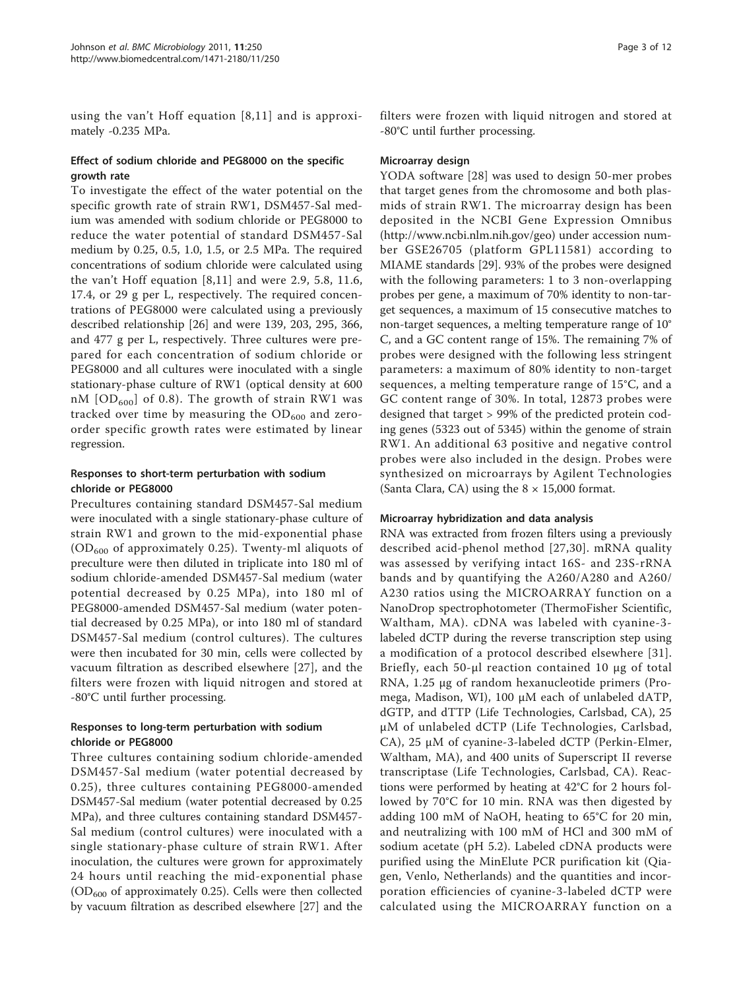using the van't Hoff equation [[8,11](#page-10-0)] and is approximately -0.235 MPa.

#### Effect of sodium chloride and PEG8000 on the specific growth rate

To investigate the effect of the water potential on the specific growth rate of strain RW1, DSM457-Sal medium was amended with sodium chloride or PEG8000 to reduce the water potential of standard DSM457-Sal medium by 0.25, 0.5, 1.0, 1.5, or 2.5 MPa. The required concentrations of sodium chloride were calculated using the van't Hoff equation [\[8,11](#page-10-0)] and were 2.9, 5.8, 11.6, 17.4, or 29 g per L, respectively. The required concentrations of PEG8000 were calculated using a previously described relationship [\[26](#page-10-0)] and were 139, 203, 295, 366, and 477 g per L, respectively. Three cultures were prepared for each concentration of sodium chloride or PEG8000 and all cultures were inoculated with a single stationary-phase culture of RW1 (optical density at 600 nM  $[OD_{600}]$  of 0.8). The growth of strain RW1 was tracked over time by measuring the  $OD<sub>600</sub>$  and zeroorder specific growth rates were estimated by linear regression.

#### Responses to short-term perturbation with sodium chloride or PEG8000

Precultures containing standard DSM457-Sal medium were inoculated with a single stationary-phase culture of strain RW1 and grown to the mid-exponential phase  $(OD<sub>600</sub>$  of approximately 0.25). Twenty-ml aliquots of preculture were then diluted in triplicate into 180 ml of sodium chloride-amended DSM457-Sal medium (water potential decreased by 0.25 MPa), into 180 ml of PEG8000-amended DSM457-Sal medium (water potential decreased by 0.25 MPa), or into 180 ml of standard DSM457-Sal medium (control cultures). The cultures were then incubated for 30 min, cells were collected by vacuum filtration as described elsewhere [[27](#page-10-0)], and the filters were frozen with liquid nitrogen and stored at -80°C until further processing.

#### Responses to long-term perturbation with sodium chloride or PEG8000

Three cultures containing sodium chloride-amended DSM457-Sal medium (water potential decreased by 0.25), three cultures containing PEG8000-amended DSM457-Sal medium (water potential decreased by 0.25 MPa), and three cultures containing standard DSM457- Sal medium (control cultures) were inoculated with a single stationary-phase culture of strain RW1. After inoculation, the cultures were grown for approximately 24 hours until reaching the mid-exponential phase  $(OD<sub>600</sub>$  of approximately 0.25). Cells were then collected by vacuum filtration as described elsewhere [\[27\]](#page-10-0) and the filters were frozen with liquid nitrogen and stored at -80°C until further processing.

### Microarray design

YODA software [[28](#page-10-0)] was used to design 50-mer probes that target genes from the chromosome and both plasmids of strain RW1. The microarray design has been deposited in the NCBI Gene Expression Omnibus (<http://www.ncbi.nlm.nih.gov/geo>) under accession number GSE26705 (platform GPL11581) according to MIAME standards [[29](#page-10-0)]. 93% of the probes were designed with the following parameters: 1 to 3 non-overlapping probes per gene, a maximum of 70% identity to non-target sequences, a maximum of 15 consecutive matches to non-target sequences, a melting temperature range of 10° C, and a GC content range of 15%. The remaining 7% of probes were designed with the following less stringent parameters: a maximum of 80% identity to non-target sequences, a melting temperature range of 15°C, and a GC content range of 30%. In total, 12873 probes were designed that target > 99% of the predicted protein coding genes (5323 out of 5345) within the genome of strain RW1. An additional 63 positive and negative control probes were also included in the design. Probes were synthesized on microarrays by Agilent Technologies (Santa Clara, CA) using the  $8 \times 15,000$  format.

#### Microarray hybridization and data analysis

RNA was extracted from frozen filters using a previously described acid-phenol method [[27](#page-10-0),[30\]](#page-10-0). mRNA quality was assessed by verifying intact 16S- and 23S-rRNA bands and by quantifying the A260/A280 and A260/ A230 ratios using the MICROARRAY function on a NanoDrop spectrophotometer (ThermoFisher Scientific, Waltham, MA). cDNA was labeled with cyanine-3 labeled dCTP during the reverse transcription step using a modification of a protocol described elsewhere [[31](#page-10-0)]. Briefly, each 50-μl reaction contained 10 μg of total RNA, 1.25 μg of random hexanucleotide primers (Promega, Madison, WI), 100 μM each of unlabeled dATP, dGTP, and dTTP (Life Technologies, Carlsbad, CA), 25 μM of unlabeled dCTP (Life Technologies, Carlsbad, CA), 25 μM of cyanine-3-labeled dCTP (Perkin-Elmer, Waltham, MA), and 400 units of Superscript II reverse transcriptase (Life Technologies, Carlsbad, CA). Reactions were performed by heating at 42°C for 2 hours followed by 70°C for 10 min. RNA was then digested by adding 100 mM of NaOH, heating to 65°C for 20 min, and neutralizing with 100 mM of HCl and 300 mM of sodium acetate (pH 5.2). Labeled cDNA products were purified using the MinElute PCR purification kit (Qiagen, Venlo, Netherlands) and the quantities and incorporation efficiencies of cyanine-3-labeled dCTP were calculated using the MICROARRAY function on a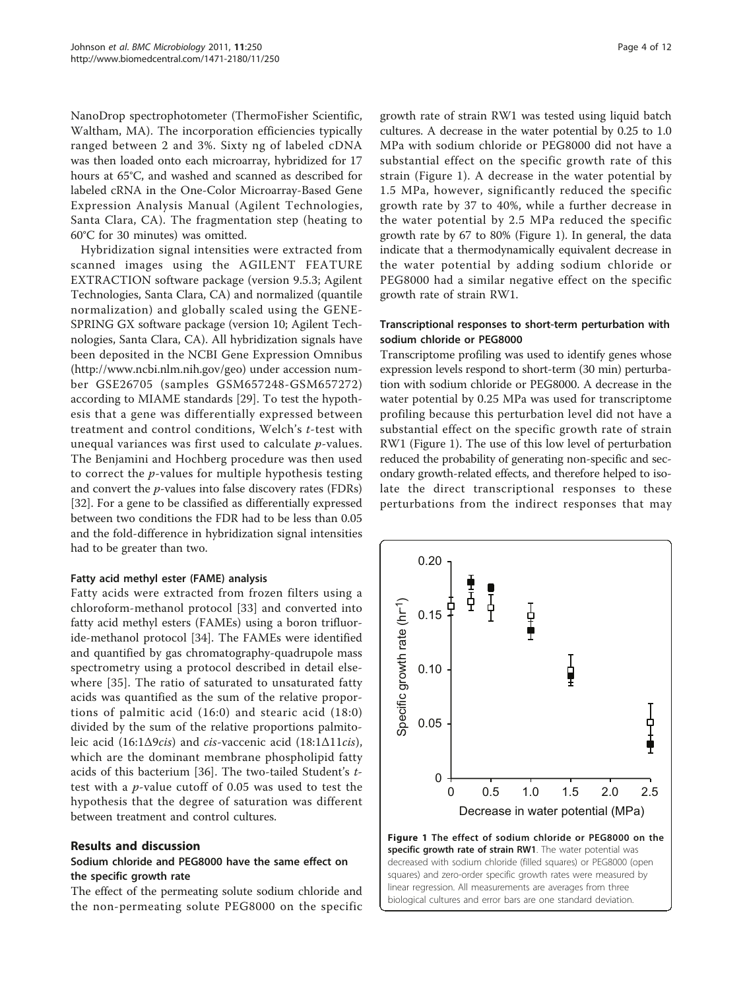<span id="page-3-0"></span>NanoDrop spectrophotometer (ThermoFisher Scientific, Waltham, MA). The incorporation efficiencies typically ranged between 2 and 3%. Sixty ng of labeled cDNA was then loaded onto each microarray, hybridized for 17 hours at 65°C, and washed and scanned as described for labeled cRNA in the One-Color Microarray-Based Gene Expression Analysis Manual (Agilent Technologies, Santa Clara, CA). The fragmentation step (heating to 60°C for 30 minutes) was omitted.

Hybridization signal intensities were extracted from scanned images using the AGILENT FEATURE EXTRACTION software package (version 9.5.3; Agilent Technologies, Santa Clara, CA) and normalized (quantile normalization) and globally scaled using the GENE-SPRING GX software package (version 10; Agilent Technologies, Santa Clara, CA). All hybridization signals have been deposited in the NCBI Gene Expression Omnibus (<http://www.ncbi.nlm.nih.gov/geo>) under accession number GSE26705 (samples GSM657248-GSM657272) according to MIAME standards [[29\]](#page-10-0). To test the hypothesis that a gene was differentially expressed between treatment and control conditions, Welch's t-test with unequal variances was first used to calculate p-values. The Benjamini and Hochberg procedure was then used to correct the  $p$ -values for multiple hypothesis testing and convert the  $p$ -values into false discovery rates (FDRs) [[32\]](#page-11-0). For a gene to be classified as differentially expressed between two conditions the FDR had to be less than 0.05 and the fold-difference in hybridization signal intensities had to be greater than two.

## Fatty acid methyl ester (FAME) analysis

Fatty acids were extracted from frozen filters using a chloroform-methanol protocol [[33](#page-11-0)] and converted into fatty acid methyl esters (FAMEs) using a boron trifluoride-methanol protocol [\[34](#page-11-0)]. The FAMEs were identified and quantified by gas chromatography-quadrupole mass spectrometry using a protocol described in detail elsewhere [[35](#page-11-0)]. The ratio of saturated to unsaturated fatty acids was quantified as the sum of the relative proportions of palmitic acid (16:0) and stearic acid (18:0) divided by the sum of the relative proportions palmitoleic acid (16:1Δ9cis) and cis-vaccenic acid (18:1Δ11cis), which are the dominant membrane phospholipid fatty acids of this bacterium [[36\]](#page-11-0). The two-tailed Student's ttest with a p-value cutoff of 0.05 was used to test the hypothesis that the degree of saturation was different between treatment and control cultures.

#### Results and discussion

## Sodium chloride and PEG8000 have the same effect on the specific growth rate

The effect of the permeating solute sodium chloride and the non-permeating solute PEG8000 on the specific

growth rate of strain RW1 was tested using liquid batch cultures. A decrease in the water potential by 0.25 to 1.0 MPa with sodium chloride or PEG8000 did not have a substantial effect on the specific growth rate of this strain (Figure 1). A decrease in the water potential by 1.5 MPa, however, significantly reduced the specific growth rate by 37 to 40%, while a further decrease in the water potential by 2.5 MPa reduced the specific growth rate by 67 to 80% (Figure 1). In general, the data indicate that a thermodynamically equivalent decrease in the water potential by adding sodium chloride or PEG8000 had a similar negative effect on the specific growth rate of strain RW1.

#### Transcriptional responses to short-term perturbation with sodium chloride or PEG8000

Transcriptome profiling was used to identify genes whose expression levels respond to short-term (30 min) perturbation with sodium chloride or PEG8000. A decrease in the water potential by 0.25 MPa was used for transcriptome profiling because this perturbation level did not have a substantial effect on the specific growth rate of strain RW1 (Figure 1). The use of this low level of perturbation reduced the probability of generating non-specific and secondary growth-related effects, and therefore helped to isolate the direct transcriptional responses to these perturbations from the indirect responses that may

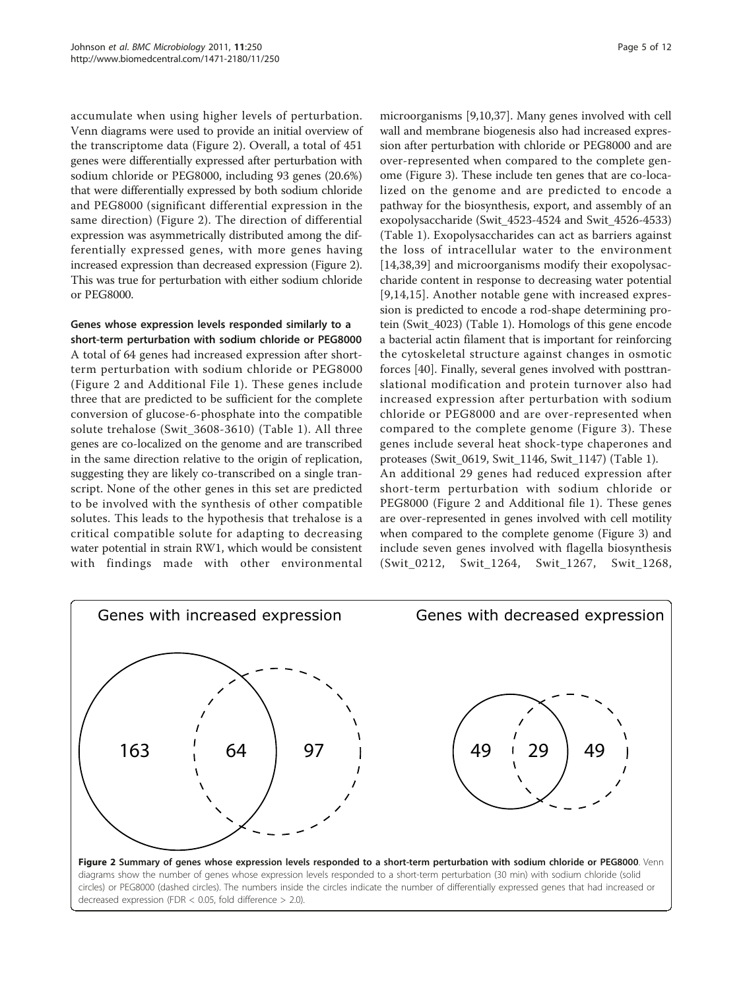<span id="page-4-0"></span>accumulate when using higher levels of perturbation. Venn diagrams were used to provide an initial overview of the transcriptome data (Figure 2). Overall, a total of 451 genes were differentially expressed after perturbation with sodium chloride or PEG8000, including 93 genes (20.6%) that were differentially expressed by both sodium chloride and PEG8000 (significant differential expression in the same direction) (Figure 2). The direction of differential expression was asymmetrically distributed among the differentially expressed genes, with more genes having increased expression than decreased expression (Figure 2). This was true for perturbation with either sodium chloride or PEG8000.

## Genes whose expression levels responded similarly to a short-term perturbation with sodium chloride or PEG8000 A total of 64 genes had increased expression after shortterm perturbation with sodium chloride or PEG8000 (Figure 2 and Additional File [1\)](#page-9-0). These genes include three that are predicted to be sufficient for the complete conversion of glucose-6-phosphate into the compatible solute trehalose (Swit\_3608-3610) (Table [1](#page-5-0)). All three genes are co-localized on the genome and are transcribed in the same direction relative to the origin of replication, suggesting they are likely co-transcribed on a single transcript. None of the other genes in this set are predicted to be involved with the synthesis of other compatible solutes. This leads to the hypothesis that trehalose is a

critical compatible solute for adapting to decreasing water potential in strain RW1, which would be consistent with findings made with other environmental

microorganisms [[9,10,](#page-10-0)[37\]](#page-11-0). Many genes involved with cell wall and membrane biogenesis also had increased expression after perturbation with chloride or PEG8000 and are over-represented when compared to the complete genome (Figure [3\)](#page-6-0). These include ten genes that are co-localized on the genome and are predicted to encode a pathway for the biosynthesis, export, and assembly of an exopolysaccharide (Swit\_4523-4524 and Swit\_4526-4533) (Table [1](#page-5-0)). Exopolysaccharides can act as barriers against the loss of intracellular water to the environment [[14](#page-10-0)[,38,39](#page-11-0)] and microorganisms modify their exopolysaccharide content in response to decreasing water potential [[9](#page-10-0),[14,15](#page-10-0)]. Another notable gene with increased expression is predicted to encode a rod-shape determining protein (Swit\_4023) (Table [1](#page-5-0)). Homologs of this gene encode a bacterial actin filament that is important for reinforcing the cytoskeletal structure against changes in osmotic forces [\[40](#page-11-0)]. Finally, several genes involved with posttranslational modification and protein turnover also had increased expression after perturbation with sodium chloride or PEG8000 and are over-represented when compared to the complete genome (Figure [3](#page-6-0)). These genes include several heat shock-type chaperones and proteases (Swit\_0619, Swit\_1146, Swit\_1147) (Table [1\)](#page-5-0). An additional 29 genes had reduced expression after short-term perturbation with sodium chloride or PEG8000 (Figure 2 and Additional file [1\)](#page-9-0). These genes are over-represented in genes involved with cell motility when compared to the complete genome (Figure [3\)](#page-6-0) and include seven genes involved with flagella biosynthesis (Swit\_0212, Swit\_1264, Swit\_1267, Swit\_1268,

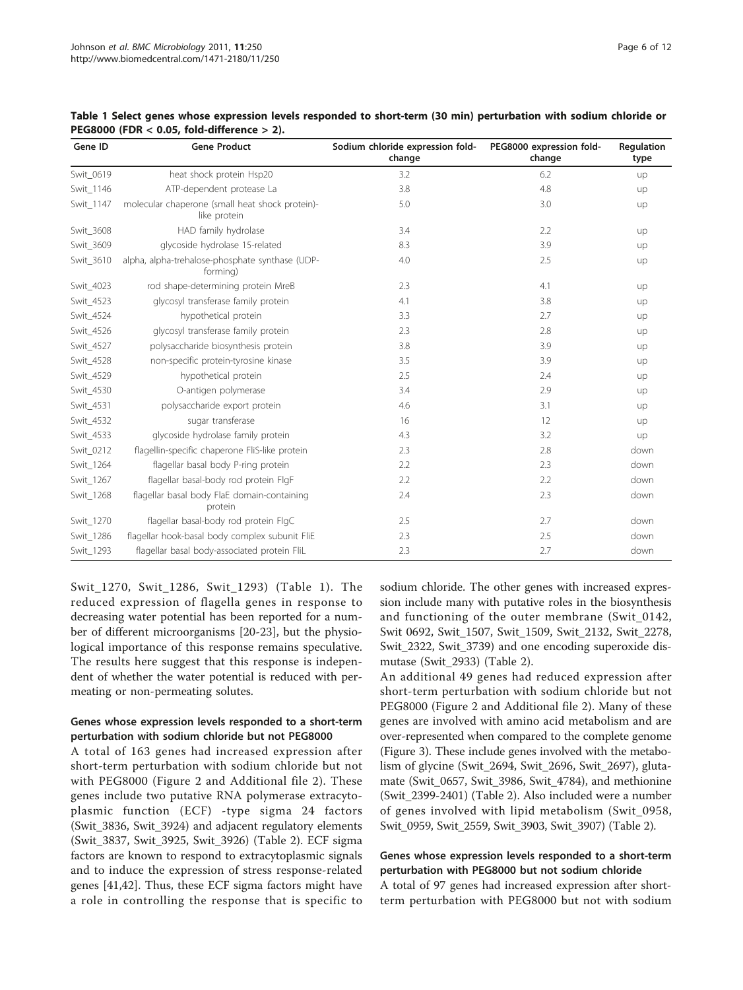| Gene ID   | <b>Gene Product</b>                                             | Sodium chloride expression fold-<br>change | PEG8000 expression fold-<br>change | Regulation<br>type |
|-----------|-----------------------------------------------------------------|--------------------------------------------|------------------------------------|--------------------|
| Swit 0619 | heat shock protein Hsp20                                        | 3.2                                        | 6.2                                | up                 |
| Swit_1146 | ATP-dependent protease La                                       | 3.8                                        | 4.8                                | up                 |
| Swit 1147 | molecular chaperone (small heat shock protein)-<br>like protein | 5.0                                        | 3.0                                | up                 |
| Swit_3608 | HAD family hydrolase                                            | 3.4                                        | 2.2                                | up                 |
| Swit_3609 | glycoside hydrolase 15-related                                  | 8.3                                        | 3.9                                | up                 |
| Swit_3610 | alpha, alpha-trehalose-phosphate synthase (UDP-<br>forming)     | 4.0                                        | 2.5                                | up                 |
| Swit_4023 | rod shape-determining protein MreB                              | 2.3                                        | 4.1                                | up                 |
| Swit_4523 | glycosyl transferase family protein                             | 4.1                                        | 3.8                                | up                 |
| Swit_4524 | hypothetical protein                                            | 3.3                                        | 2.7                                | up                 |
| Swit_4526 | glycosyl transferase family protein                             | 2.3                                        | 2.8                                | up                 |
| Swit_4527 | polysaccharide biosynthesis protein                             | 3.8                                        | 3.9                                | up                 |
| Swit_4528 | non-specific protein-tyrosine kinase                            | 3.5                                        | 3.9                                | up                 |
| Swit 4529 | hypothetical protein                                            | 2.5                                        | 2.4                                | up                 |
| Swit_4530 | O-antigen polymerase                                            | 3.4                                        | 2.9                                | up                 |
| Swit_4531 | polysaccharide export protein                                   | 4.6                                        | 3.1                                | up                 |
| Swit_4532 | sugar transferase                                               | 16                                         | 12                                 | up                 |
| Swit_4533 | glycoside hydrolase family protein                              | 4.3                                        | 3.2                                | up                 |
| Swit_0212 | flagellin-specific chaperone FliS-like protein                  | 2.3                                        | 2.8                                | down               |
| Swit_1264 | flagellar basal body P-ring protein                             | 2.2                                        | 2.3                                | down               |
| Swit 1267 | flagellar basal-body rod protein FlgF                           | 2.2                                        | 2.2                                | down               |
| Swit_1268 | flagellar basal body FlaE domain-containing<br>protein          | 2.4                                        | 2.3                                | down               |
| Swit_1270 | flagellar basal-body rod protein FlgC                           | 2.5                                        | 2.7                                | down               |
| Swit_1286 | flagellar hook-basal body complex subunit FliE                  | 2.3                                        | 2.5                                | down               |
| Swit_1293 | flagellar basal body-associated protein FliL                    | 2.3                                        | 2.7                                | down               |

<span id="page-5-0"></span>Table 1 Select genes whose expression levels responded to short-term (30 min) perturbation with sodium chloride or PEG8000 (FDR < 0.05, fold-difference > 2).

Swit\_1270, Swit\_1286, Swit\_1293) (Table 1). The reduced expression of flagella genes in response to decreasing water potential has been reported for a number of different microorganisms [\[20-23](#page-10-0)], but the physiological importance of this response remains speculative. The results here suggest that this response is independent of whether the water potential is reduced with permeating or non-permeating solutes.

## Genes whose expression levels responded to a short-term perturbation with sodium chloride but not PEG8000

A total of 163 genes had increased expression after short-term perturbation with sodium chloride but not with PEG8000 (Figure [2](#page-4-0) and Additional file [2\)](#page-9-0). These genes include two putative RNA polymerase extracytoplasmic function (ECF) -type sigma 24 factors (Swit\_3836, Swit\_3924) and adjacent regulatory elements (Swit\_3837, Swit\_3925, Swit\_3926) (Table [2\)](#page-7-0). ECF sigma factors are known to respond to extracytoplasmic signals and to induce the expression of stress response-related genes [[41,42\]](#page-11-0). Thus, these ECF sigma factors might have a role in controlling the response that is specific to sodium chloride. The other genes with increased expression include many with putative roles in the biosynthesis and functioning of the outer membrane (Swit\_0142, Swit 0692, Swit\_1507, Swit\_1509, Swit\_2132, Swit\_2278, Swit\_2322, Swit\_3739) and one encoding superoxide dismutase (Swit\_2933) (Table [2](#page-7-0)).

An additional 49 genes had reduced expression after short-term perturbation with sodium chloride but not PEG8000 (Figure [2](#page-4-0) and Additional file [2](#page-9-0)). Many of these genes are involved with amino acid metabolism and are over-represented when compared to the complete genome (Figure [3\)](#page-6-0). These include genes involved with the metabolism of glycine (Swit\_2694, Swit\_2696, Swit\_2697), glutamate (Swit\_0657, Swit\_3986, Swit\_4784), and methionine (Swit\_2399-2401) (Table [2](#page-7-0)). Also included were a number of genes involved with lipid metabolism (Swit\_0958, Swit\_0959, Swit\_2559, Swit\_3903, Swit\_3907) (Table [2](#page-7-0)).

## Genes whose expression levels responded to a short-term perturbation with PEG8000 but not sodium chloride

A total of 97 genes had increased expression after shortterm perturbation with PEG8000 but not with sodium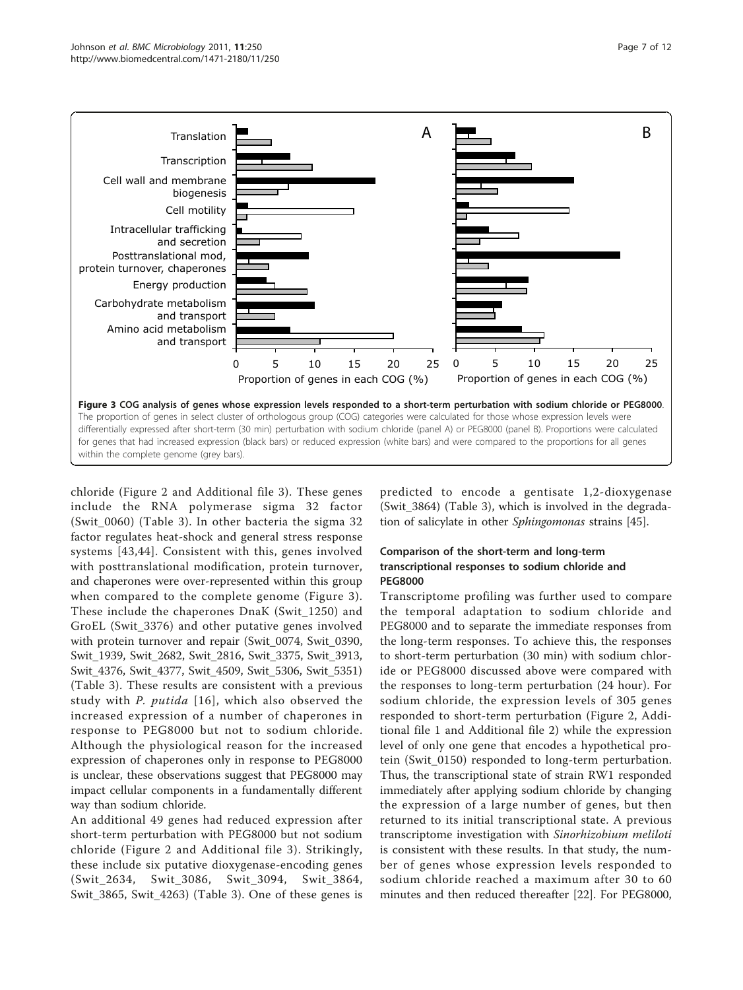<span id="page-6-0"></span>

chloride (Figure [2](#page-4-0) and Additional file [3](#page-10-0)). These genes include the RNA polymerase sigma 32 factor (Swit\_0060) (Table [3](#page-8-0)). In other bacteria the sigma 32 factor regulates heat-shock and general stress response systems [[43](#page-11-0),[44\]](#page-11-0). Consistent with this, genes involved with posttranslational modification, protein turnover, and chaperones were over-represented within this group when compared to the complete genome (Figure 3). These include the chaperones DnaK (Swit\_1250) and GroEL (Swit\_3376) and other putative genes involved with protein turnover and repair (Swit\_0074, Swit\_0390, Swit\_1939, Swit\_2682, Swit\_2816, Swit\_3375, Swit\_3913, Swit\_4376, Swit\_4377, Swit\_4509, Swit\_5306, Swit\_5351) (Table [3](#page-8-0)). These results are consistent with a previous study with P. putida [[16\]](#page-10-0), which also observed the increased expression of a number of chaperones in response to PEG8000 but not to sodium chloride. Although the physiological reason for the increased expression of chaperones only in response to PEG8000 is unclear, these observations suggest that PEG8000 may impact cellular components in a fundamentally different way than sodium chloride.

An additional 49 genes had reduced expression after short-term perturbation with PEG8000 but not sodium chloride (Figure [2](#page-4-0) and Additional file [3](#page-10-0)). Strikingly, these include six putative dioxygenase-encoding genes (Swit\_2634, Swit\_3086, Swit\_3094, Swit\_3864, Swit [3](#page-8-0)865, Swit 4263) (Table 3). One of these genes is predicted to encode a gentisate 1,2-dioxygenase (Swit\_3864) (Table [3](#page-8-0)), which is involved in the degradation of salicylate in other Sphingomonas strains [\[45](#page-11-0)].

### Comparison of the short-term and long-term transcriptional responses to sodium chloride and PEG8000

Transcriptome profiling was further used to compare the temporal adaptation to sodium chloride and PEG8000 and to separate the immediate responses from the long-term responses. To achieve this, the responses to short-term perturbation (30 min) with sodium chloride or PEG8000 discussed above were compared with the responses to long-term perturbation (24 hour). For sodium chloride, the expression levels of 305 genes responded to short-term perturbation (Figure [2,](#page-4-0) Additional file [1](#page-9-0) and Additional file [2](#page-9-0)) while the expression level of only one gene that encodes a hypothetical protein (Swit\_0150) responded to long-term perturbation. Thus, the transcriptional state of strain RW1 responded immediately after applying sodium chloride by changing the expression of a large number of genes, but then returned to its initial transcriptional state. A previous transcriptome investigation with Sinorhizobium meliloti is consistent with these results. In that study, the number of genes whose expression levels responded to sodium chloride reached a maximum after 30 to 60 minutes and then reduced thereafter [[22\]](#page-10-0). For PEG8000,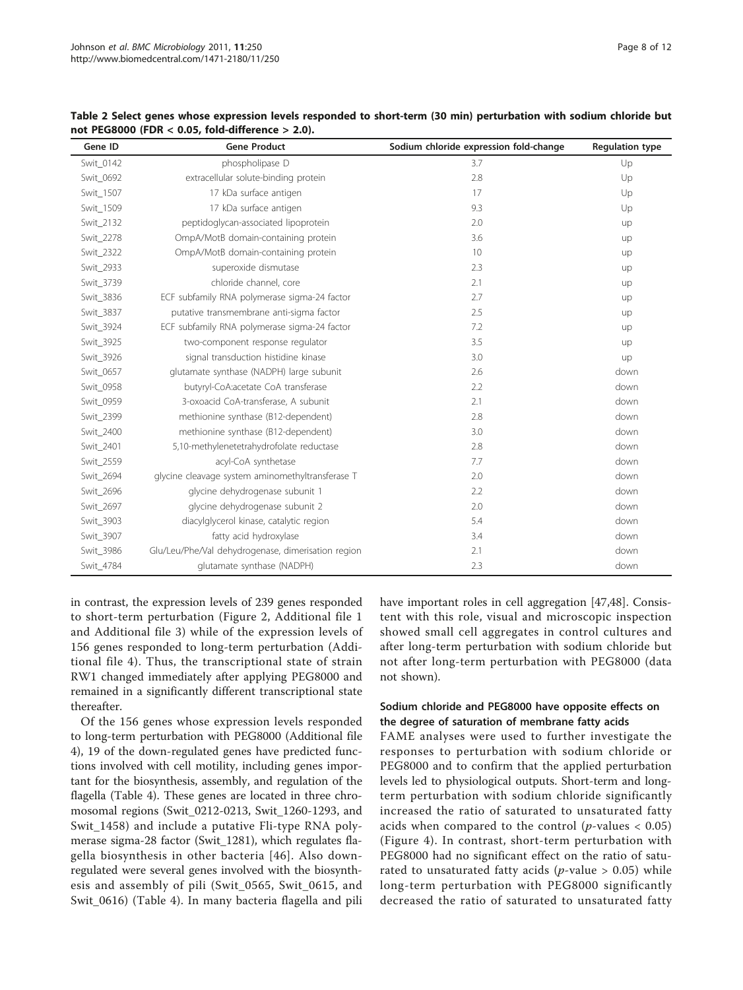| Gene ID   | <b>Gene Product</b>                                | Sodium chloride expression fold-change | <b>Regulation type</b> |
|-----------|----------------------------------------------------|----------------------------------------|------------------------|
| Swit 0142 | phospholipase D                                    | 3.7                                    | Up                     |
| Swit 0692 | extracellular solute-binding protein               | 2.8                                    | Up                     |
| Swit 1507 | 17 kDa surface antigen                             | 17                                     | Up                     |
| Swit 1509 | 17 kDa surface antigen                             | 9.3                                    | Up                     |
| Swit 2132 | peptidoglycan-associated lipoprotein               | 2.0                                    | up                     |
| Swit_2278 | OmpA/MotB domain-containing protein                | 3.6                                    | up                     |
| Swit_2322 | OmpA/MotB domain-containing protein                | 10                                     | up                     |
| Swit_2933 | superoxide dismutase                               | 2.3                                    | up                     |
| Swit_3739 | chloride channel, core                             | 2.1                                    | up                     |
| Swit_3836 | ECF subfamily RNA polymerase sigma-24 factor       | 2.7                                    | up                     |
| Swit_3837 | putative transmembrane anti-sigma factor           | 2.5                                    | up                     |
| Swit_3924 | ECF subfamily RNA polymerase sigma-24 factor       | 7.2                                    | up                     |
| Swit 3925 | two-component response regulator                   | 3.5                                    | up                     |
| Swit_3926 | signal transduction histidine kinase               | 3.0                                    | up                     |
| Swit_0657 | glutamate synthase (NADPH) large subunit           | 2.6                                    | down                   |
| Swit_0958 | butyryl-CoA:acetate CoA transferase                | 2.2                                    | down                   |
| Swit_0959 | 3-oxoacid CoA-transferase, A subunit               | 2.1                                    | down                   |
| Swit 2399 | methionine synthase (B12-dependent)                | 2.8                                    | down                   |
| Swit_2400 | methionine synthase (B12-dependent)                | 3.0                                    | down                   |
| Swit 2401 | 5,10-methylenetetrahydrofolate reductase           | 2.8                                    | down                   |
| Swit_2559 | acyl-CoA synthetase                                | 7.7                                    | down                   |
| Swit_2694 | glycine cleavage system aminomethyltransferase T   | 2.0                                    | down                   |
| Swit_2696 | glycine dehydrogenase subunit 1                    | 2.2                                    | down                   |
| Swit_2697 | glycine dehydrogenase subunit 2                    | 2.0                                    | down                   |
| Swit_3903 | diacylglycerol kinase, catalytic region            | 5.4                                    | down                   |
| Swit_3907 | fatty acid hydroxylase                             | 3.4                                    | down                   |
| Swit_3986 | Glu/Leu/Phe/Val dehydrogenase, dimerisation region | 2.1                                    | down                   |
| Swit_4784 | glutamate synthase (NADPH)                         | 2.3                                    | down                   |

<span id="page-7-0"></span>Table 2 Select genes whose expression levels responded to short-term (30 min) perturbation with sodium chloride but not PEG8000 (FDR < 0.05, fold-difference > 2.0).

in contrast, the expression levels of 239 genes responded to short-term perturbation (Figure [2](#page-4-0), Additional file [1](#page-9-0) and Additional file [3\)](#page-10-0) while of the expression levels of 156 genes responded to long-term perturbation (Additional file [4\)](#page-10-0). Thus, the transcriptional state of strain RW1 changed immediately after applying PEG8000 and remained in a significantly different transcriptional state thereafter.

Of the 156 genes whose expression levels responded to long-term perturbation with PEG8000 (Additional file [4\)](#page-10-0), 19 of the down-regulated genes have predicted functions involved with cell motility, including genes important for the biosynthesis, assembly, and regulation of the flagella (Table [4\)](#page-8-0). These genes are located in three chromosomal regions (Swit\_0212-0213, Swit\_1260-1293, and Swit\_1458) and include a putative Fli-type RNA polymerase sigma-28 factor (Swit\_1281), which regulates flagella biosynthesis in other bacteria [\[46\]](#page-11-0). Also downregulated were several genes involved with the biosynthesis and assembly of pili (Swit\_0565, Swit\_0615, and Swit\_0616) (Table [4\)](#page-8-0). In many bacteria flagella and pili have important roles in cell aggregation [[47,48\]](#page-11-0). Consistent with this role, visual and microscopic inspection showed small cell aggregates in control cultures and after long-term perturbation with sodium chloride but not after long-term perturbation with PEG8000 (data not shown).

## Sodium chloride and PEG8000 have opposite effects on the degree of saturation of membrane fatty acids

FAME analyses were used to further investigate the responses to perturbation with sodium chloride or PEG8000 and to confirm that the applied perturbation levels led to physiological outputs. Short-term and longterm perturbation with sodium chloride significantly increased the ratio of saturated to unsaturated fatty acids when compared to the control ( $p$ -values < 0.05) (Figure [4\)](#page-9-0). In contrast, short-term perturbation with PEG8000 had no significant effect on the ratio of saturated to unsaturated fatty acids (*p*-value  $> 0.05$ ) while long-term perturbation with PEG8000 significantly decreased the ratio of saturated to unsaturated fatty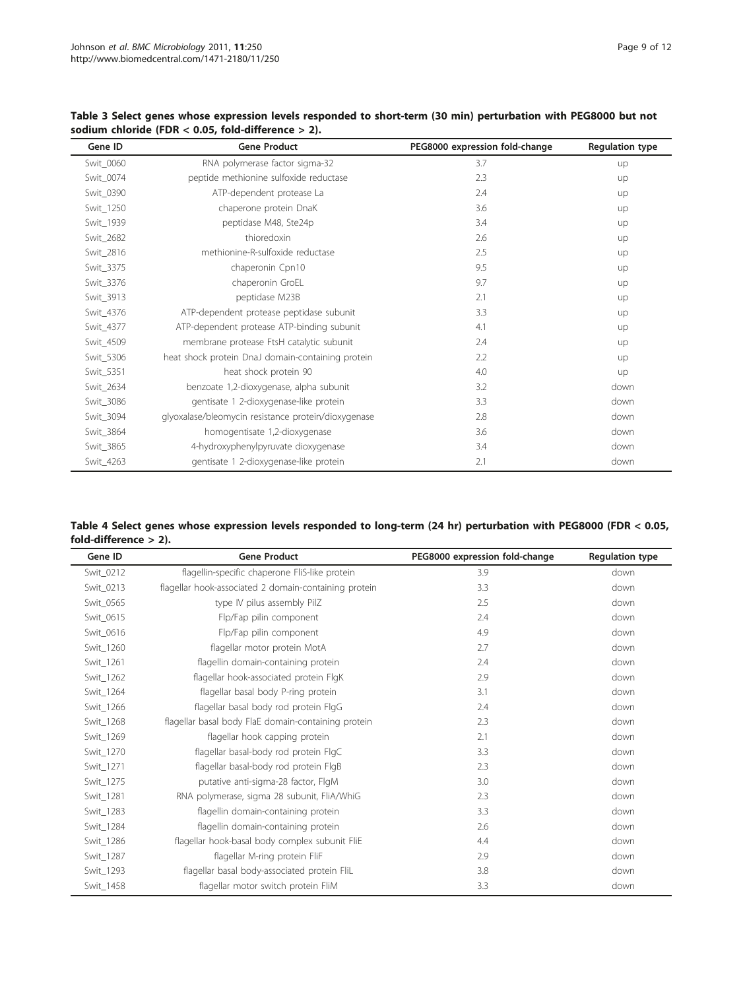| Gene ID   | <b>Gene Product</b>                                 | PEG8000 expression fold-change | <b>Regulation type</b> |
|-----------|-----------------------------------------------------|--------------------------------|------------------------|
| Swit_0060 | RNA polymerase factor sigma-32                      | 3.7                            | up                     |
| Swit_0074 | peptide methionine sulfoxide reductase              | 2.3                            | up                     |
| Swit_0390 | ATP-dependent protease La                           | 2.4                            | up                     |
| Swit_1250 | chaperone protein DnaK                              | 3.6                            | up                     |
| Swit_1939 | peptidase M48, Ste24p                               | 3.4                            | up                     |
| Swit_2682 | thioredoxin                                         | 2.6                            | up                     |
| Swit_2816 | methionine-R-sulfoxide reductase                    | 2.5                            | up                     |
| Swit_3375 | chaperonin Cpn10                                    | 9.5                            | up                     |
| Swit_3376 | chaperonin GroEL                                    | 9.7                            | up                     |
| Swit_3913 | peptidase M23B                                      | 2.1                            | up                     |
| Swit_4376 | ATP-dependent protease peptidase subunit            | 3.3                            | up                     |
| Swit_4377 | ATP-dependent protease ATP-binding subunit          | 4.1                            | up                     |
| Swit_4509 | membrane protease FtsH catalytic subunit            | 2.4                            | up                     |
| Swit_5306 | heat shock protein DnaJ domain-containing protein   | 2.2                            | up                     |
| Swit_5351 | heat shock protein 90                               | 4.0                            | up                     |
| Swit_2634 | benzoate 1,2-dioxygenase, alpha subunit             | 3.2                            | down                   |
| Swit_3086 | gentisate 1 2-dioxygenase-like protein              | 3.3                            | down                   |
| Swit_3094 | glyoxalase/bleomycin resistance protein/dioxygenase | 2.8                            | down                   |
| Swit_3864 | homogentisate 1,2-dioxygenase                       | 3.6                            | down                   |
| Swit_3865 | 4-hydroxyphenylpyruvate dioxygenase                 | 3.4                            | down                   |
| Swit_4263 | gentisate 1 2-dioxygenase-like protein              | 2.1                            | down                   |

<span id="page-8-0"></span>Table 3 Select genes whose expression levels responded to short-term (30 min) perturbation with PEG8000 but not sodium chloride (FDR < 0.05, fold-difference > 2).

| Table 4 Select genes whose expression levels responded to long-term (24 hr) perturbation with PEG8000 (FDR < 0.05, |  |  |
|--------------------------------------------------------------------------------------------------------------------|--|--|
| fold-difference $> 2$ ).                                                                                           |  |  |

| Gene ID   | <b>Gene Product</b>                                   | PEG8000 expression fold-change | <b>Regulation type</b> |
|-----------|-------------------------------------------------------|--------------------------------|------------------------|
| Swit_0212 | flagellin-specific chaperone FliS-like protein        | 3.9                            | down                   |
| Swit 0213 | flagellar hook-associated 2 domain-containing protein | 3.3                            | down                   |
| Swit 0565 | type IV pilus assembly PilZ                           | 2.5                            | down                   |
| Swit_0615 | Flp/Fap pilin component                               | 2.4                            | down                   |
| Swit 0616 | Flp/Fap pilin component                               | 4.9                            | down                   |
| Swit 1260 | flagellar motor protein MotA                          | 2.7                            | down                   |
| Swit_1261 | flagellin domain-containing protein                   | 2.4                            | down                   |
| Swit 1262 | flagellar hook-associated protein FlgK                | 2.9                            | down                   |
| Swit 1264 | flagellar basal body P-ring protein                   | 3.1                            | down                   |
| Swit 1266 | flagellar basal body rod protein FlgG                 | 2.4                            | down                   |
| Swit 1268 | flagellar basal body FlaE domain-containing protein   | 2.3                            | down                   |
| Swit 1269 | flagellar hook capping protein                        | 2.1                            | down                   |
| Swit 1270 | flagellar basal-body rod protein FlgC                 | 3.3                            | down                   |
| Swit_1271 | flagellar basal-body rod protein FlgB                 | 2.3                            | down                   |
| Swit 1275 | putative anti-sigma-28 factor, FlgM                   | 3.0                            | down                   |
| Swit 1281 | RNA polymerase, sigma 28 subunit, FliA/WhiG           | 2.3                            | down                   |
| Swit_1283 | flagellin domain-containing protein                   | 3.3                            | down                   |
| Swit 1284 | flagellin domain-containing protein                   | 2.6                            | down                   |
| Swit 1286 | flagellar hook-basal body complex subunit FliE        | 4.4                            | down                   |
| Swit 1287 | flagellar M-ring protein FliF                         | 2.9                            | down                   |
| Swit 1293 | flagellar basal body-associated protein FliL          | 3.8                            | down                   |
| Swit 1458 | flagellar motor switch protein FliM                   | 3.3                            | down                   |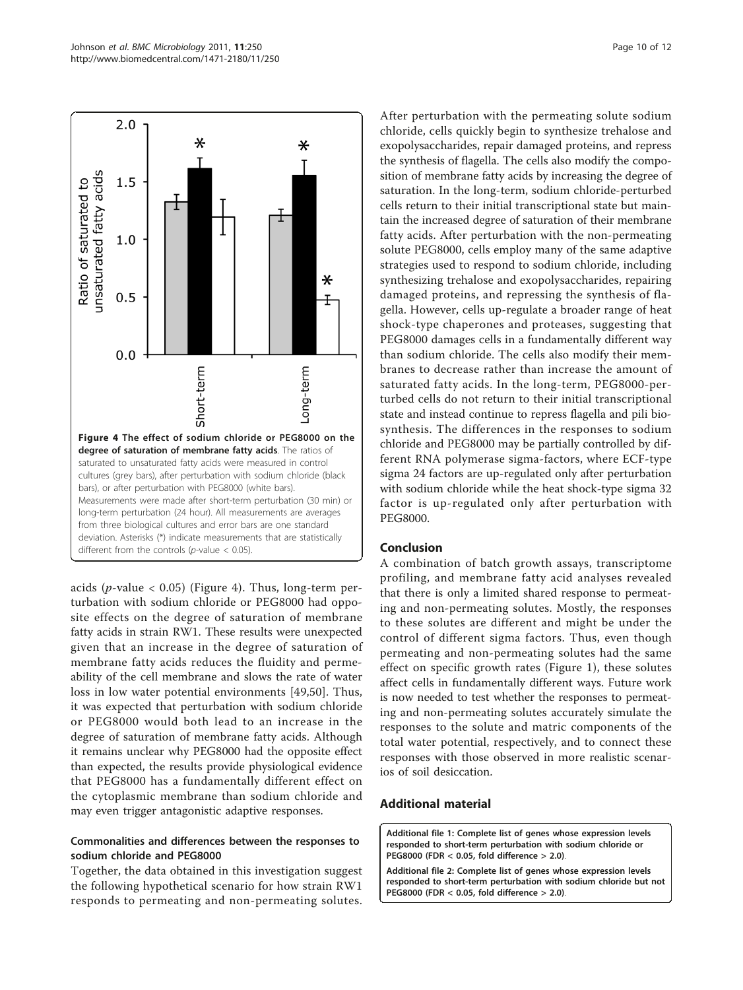<span id="page-9-0"></span>

acids ( $p$ -value < 0.05) (Figure 4). Thus, long-term perturbation with sodium chloride or PEG8000 had opposite effects on the degree of saturation of membrane fatty acids in strain RW1. These results were unexpected given that an increase in the degree of saturation of membrane fatty acids reduces the fluidity and permeability of the cell membrane and slows the rate of water loss in low water potential environments [[49,50](#page-11-0)]. Thus, it was expected that perturbation with sodium chloride or PEG8000 would both lead to an increase in the degree of saturation of membrane fatty acids. Although it remains unclear why PEG8000 had the opposite effect than expected, the results provide physiological evidence that PEG8000 has a fundamentally different effect on the cytoplasmic membrane than sodium chloride and may even trigger antagonistic adaptive responses.

## Commonalities and differences between the responses to sodium chloride and PEG8000

Together, the data obtained in this investigation suggest the following hypothetical scenario for how strain RW1 responds to permeating and non-permeating solutes. After perturbation with the permeating solute sodium chloride, cells quickly begin to synthesize trehalose and exopolysaccharides, repair damaged proteins, and repress the synthesis of flagella. The cells also modify the composition of membrane fatty acids by increasing the degree of saturation. In the long-term, sodium chloride-perturbed cells return to their initial transcriptional state but maintain the increased degree of saturation of their membrane fatty acids. After perturbation with the non-permeating solute PEG8000, cells employ many of the same adaptive strategies used to respond to sodium chloride, including synthesizing trehalose and exopolysaccharides, repairing damaged proteins, and repressing the synthesis of flagella. However, cells up-regulate a broader range of heat shock-type chaperones and proteases, suggesting that PEG8000 damages cells in a fundamentally different way than sodium chloride. The cells also modify their membranes to decrease rather than increase the amount of saturated fatty acids. In the long-term, PEG8000-perturbed cells do not return to their initial transcriptional state and instead continue to repress flagella and pili biosynthesis. The differences in the responses to sodium chloride and PEG8000 may be partially controlled by different RNA polymerase sigma-factors, where ECF-type sigma 24 factors are up-regulated only after perturbation with sodium chloride while the heat shock-type sigma 32 factor is up-regulated only after perturbation with PEG8000.

#### Conclusion

A combination of batch growth assays, transcriptome profiling, and membrane fatty acid analyses revealed that there is only a limited shared response to permeating and non-permeating solutes. Mostly, the responses to these solutes are different and might be under the control of different sigma factors. Thus, even though permeating and non-permeating solutes had the same effect on specific growth rates (Figure [1](#page-3-0)), these solutes affect cells in fundamentally different ways. Future work is now needed to test whether the responses to permeating and non-permeating solutes accurately simulate the responses to the solute and matric components of the total water potential, respectively, and to connect these responses with those observed in more realistic scenarios of soil desiccation.

#### Additional material

[Additional file 1: C](http://www.biomedcentral.com/content/supplementary/1471-2180-11-250-S1.XLSX)omplete list of genes whose expression levels responded to short-term perturbation with sodium chloride or PEG8000 (FDR < 0.05, fold difference > 2.0).

[Additional file 2: C](http://www.biomedcentral.com/content/supplementary/1471-2180-11-250-S2.XLSX)omplete list of genes whose expression levels responded to short-term perturbation with sodium chloride but not PEG8000 (FDR < 0.05, fold difference > 2.0).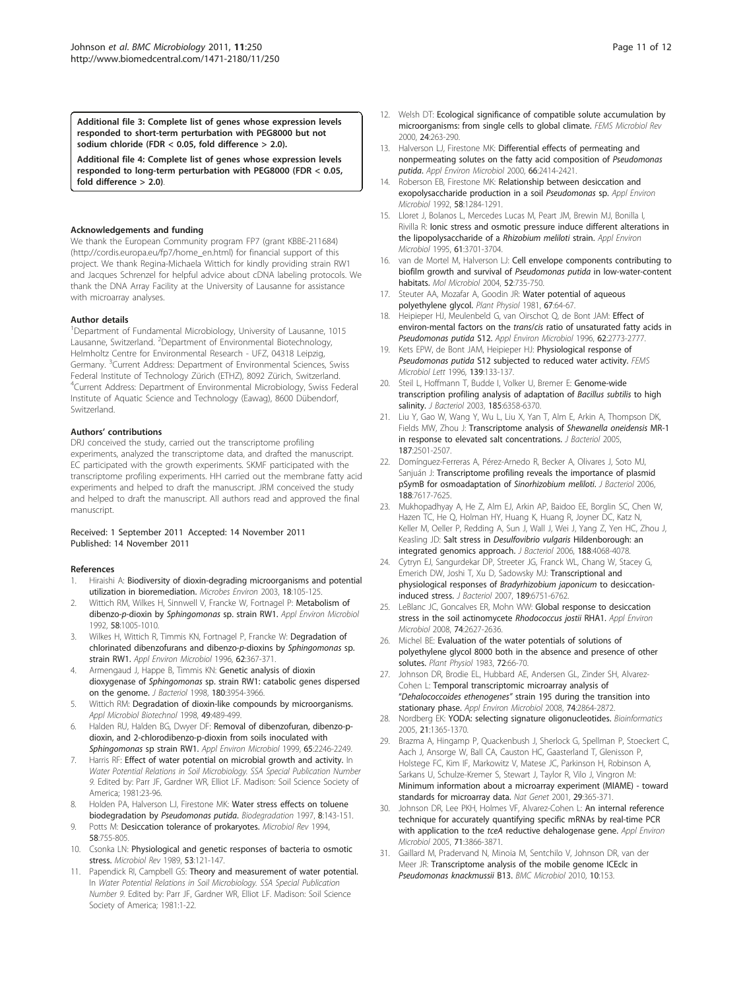<span id="page-10-0"></span>[Additional file 3: C](http://www.biomedcentral.com/content/supplementary/1471-2180-11-250-S3.XLSX)omplete list of genes whose expression levels responded to short-term perturbation with PEG8000 but not sodium chloride (FDR < 0.05, fold difference > 2.0).

[Additional file 4: C](http://www.biomedcentral.com/content/supplementary/1471-2180-11-250-S4.XLSX)omplete list of genes whose expression levels responded to long-term perturbation with PEG8000 (FDR < 0.05, fold difference > 2.0).

#### Acknowledgements and funding

We thank the European Community program FP7 (grant KBBE-211684) ([http://cordis.europa.eu/fp7/home\\_en.html](http://cordis.europa.eu/fp7/home_en.html)) for financial support of this project. We thank Regina-Michaela Wittich for kindly providing strain RW1 and Jacques Schrenzel for helpful advice about cDNA labeling protocols. We thank the DNA Array Facility at the University of Lausanne for assistance with microarray analyses.

#### Author details

<sup>1</sup>Department of Fundamental Microbiology, University of Lausanne, 1015 Lausanne, Switzerland. <sup>2</sup>Department of Environmental Biotechnology, Helmholtz Centre for Environmental Research - UFZ, 04318 Leipzig, Germany. <sup>3</sup>Current Address: Department of Environmental Sciences, Swiss Federal Institute of Technology Zürich (ETHZ), 8092 Zürich, Switzerland. 4 Current Address: Department of Environmental Microbiology, Swiss Federal Institute of Aquatic Science and Technology (Eawag), 8600 Dübendorf, Switzerland.

#### Authors' contributions

DRJ conceived the study, carried out the transcriptome profiling experiments, analyzed the transcriptome data, and drafted the manuscript. EC participated with the growth experiments. SKMF participated with the transcriptome profiling experiments. HH carried out the membrane fatty acid experiments and helped to draft the manuscript. JRM conceived the study and helped to draft the manuscript. All authors read and approved the final manuscript.

#### Received: 1 September 2011 Accepted: 14 November 2011 Published: 14 November 2011

#### References

- 1. Hiraishi A: Biodiversity of dioxin-degrading microorganisms and potential utilization in bioremediation. Microbes Environ 2003, 18:105-125.
- 2. Wittich RM, Wilkes H, Sinnwell V, Francke W, Fortnagel P: Metabolism of dibenzo-p-dioxin by Sphingomonas sp. strain RW1. Appl Environ Microbiol 1992, 58:1005-1010.
- 3. Wilkes H, Wittich R, Timmis KN, Fortnagel P, Francke W: Degradation of chlorinated dibenzofurans and dibenzo-p-dioxins by Sphingomonas sp. strain RW1. Appl Environ Microbiol 1996, 62:367-371.
- Armengaud J, Happe B, Timmis KN: Genetic analysis of dioxin dioxygenase of Sphingomonas sp. strain RW1: catabolic genes dispersed on the genome. J Bacteriol 1998, 180:3954-3966.
- 5. Wittich RM: Degradation of dioxin-like compounds by microorganisms. Appl Microbiol Biotechnol 1998, 49:489-499.
- 6. Halden RU, Halden BG, Dwyer DF: Removal of dibenzofuran, dibenzo-pdioxin, and 2-chlorodibenzo-p-dioxin from soils inoculated with Sphingomonas sp strain RW1. Appl Environ Microbiol 1999, 65:2246-2249.
- 7. Harris RF: Effect of water potential on microbial growth and activity. In Water Potential Relations in Soil Microbiology. SSA Special Publication Number 9. Edited by: Parr JF, Gardner WR, Elliot LF. Madison: Soil Science Society of America; 1981:23-96.
- 8. Holden PA, Halverson LJ, Firestone MK: Water stress effects on toluene biodegradation by Pseudomonas putida. Biodegradation 1997, 8:143-151.
- 9. Potts M: Desiccation tolerance of prokaryotes. Microbiol Rev 1994, 58:755-805.
- 10. Csonka LN: Physiological and genetic responses of bacteria to osmotic stress. Microbiol Rev 1989, 53:121-147.
- 11. Papendick RI, Campbell GS: Theory and measurement of water potential. In Water Potential Relations in Soil Microbiology. SSA Special Publication Number 9. Edited by: Parr JF, Gardner WR, Elliot LF. Madison: Soil Science Society of America; 1981:1-22.
- 12. Welsh DT: Ecological significance of compatible solute accumulation by microorganisms: from single cells to global climate. FEMS Microbiol Rev 2000, 24:263-290.
- 13. Halverson LJ, Firestone MK: Differential effects of permeating and nonpermeating solutes on the fatty acid composition of Pseudomonas putida. Appl Environ Microbiol 2000, 66:2414-2421.
- 14. Roberson EB, Firestone MK: Relationship between desiccation and exopolysaccharide production in a soil Pseudomonas sp. Appl Environ Microbiol 1992, 58:1284-1291.
- 15. Lloret J, Bolanos L, Mercedes Lucas M, Peart JM, Brewin MJ, Bonilla I, Rivilla R: Ionic stress and osmotic pressure induce different alterations in the lipopolysaccharide of a Rhizobium meliloti strain. Appl Environ Microbiol 1995, 61:3701-3704.
- 16. van de Mortel M, Halverson LJ: Cell envelope components contributing to biofilm growth and survival of Pseudomonas putida in low-water-content habitats. Mol Microbiol 2004, 52:735-750.
- 17. Steuter AA, Mozafar A, Goodin JR: Water potential of aqueous polyethylene glycol. Plant Physiol 1981, 67:64-67.
- Heipieper HJ, Meulenbeld G, van Oirschot Q, de Bont JAM: Effect of environ-mental factors on the trans/cis ratio of unsaturated fatty acids in Pseudomonas putida S12. Appl Environ Microbiol 1996, 62:2773-2777.
- 19. Kets EPW, de Bont JAM, Heipieper HJ: Physiological response of Pseudomonas putida S12 subjected to reduced water activity. FEMS Microbiol Lett 1996, 139:133-137.
- 20. Steil L, Hoffmann T, Budde I, Volker U, Bremer E: Genome-wide transcription profiling analysis of adaptation of Bacillus subtilis to high salinity. J Bacteriol 2003, 185:6358-6370.
- 21. Liu Y, Gao W, Wang Y, Wu L, Liu X, Yan T, Alm E, Arkin A, Thompson DK, Fields MW, Zhou J: Transcriptome analysis of Shewanella oneidensis MR-1 in response to elevated salt concentrations. J Bacteriol 2005, 187:2501-2507.
- 22. Domínguez-Ferreras A, Pérez-Arnedo R, Becker A, Olivares J, Soto MJ, Sanjuán J: Transcriptome profiling reveals the importance of plasmid pSymB for osmoadaptation of Sinorhizobium meliloti. J Bacteriol 2006, 188:7617-7625.
- 23. Mukhopadhyay A, He Z, Alm EJ, Arkin AP, Baidoo EE, Borglin SC, Chen W, Hazen TC, He Q, Holman HY, Huang K, Huang R, Joyner DC, Katz N, Keller M, Oeller P, Redding A, Sun J, Wall J, Wei J, Yang Z, Yen HC, Zhou J, Keasling JD: Salt stress in Desulfovibrio vulgaris Hildenborough: an integrated genomics approach. J Bacteriol 2006, 188:4068-4078.
- 24. Cytryn EJ, Sangurdekar DP, Streeter JG, Franck WL, Chang W, Stacey G, Emerich DW, Joshi T, Xu D, Sadowsky MJ: Transcriptional and physiological responses of Bradyrhizobium japonicum to desiccationinduced stress. J Bacteriol 2007, 189:6751-6762.
- 25. LeBlanc JC, Goncalves ER, Mohn WW: Global response to desiccation stress in the soil actinomycete Rhodococcus jostii RHA1. Appl Environ Microbiol 2008, 74:2627-2636.
- 26. Michel BE: Evaluation of the water potentials of solutions of polyethylene glycol 8000 both in the absence and presence of other solutes. Plant Physiol 1983, 72:66-70.
- 27. Johnson DR, Brodie EL, Hubbard AE, Andersen GL, Zinder SH, Alvarez-Cohen L: Temporal transcriptomic microarray analysis of "Dehalococcoides ethenogenes" strain 195 during the transition into stationary phase. Appl Environ Microbiol 2008, 74:2864-2872.
- 28. Nordberg EK: YODA: selecting signature oligonucleotides. Bioinformatics 2005, 21:1365-1370.
- 29. Brazma A, Hingamp P, Quackenbush J, Sherlock G, Spellman P, Stoeckert C, Aach J, Ansorge W, Ball CA, Causton HC, Gaasterland T, Glenisson P, Holstege FC, Kim IF, Markowitz V, Matese JC, Parkinson H, Robinson A, Sarkans U, Schulze-Kremer S, Stewart J, Taylor R, Vilo J, Vingron M: Minimum information about a microarray experiment (MIAME) - toward standards for microarray data. Nat Genet 2001, 29:365-371.
- 30. Johnson DR, Lee PKH, Holmes VF, Alvarez-Cohen L: An internal reference technique for accurately quantifying specific mRNAs by real-time PCR with application to the tceA reductive dehalogenase gene. Appl Environ Microbiol 2005, 71:3866-3871.
- 31. Gaillard M, Pradervand N, Minoia M, Sentchilo V, Johnson DR, van der Meer JR: Transcriptome analysis of the mobile genome ICEclc in Pseudomonas knackmussii B13. BMC Microbiol 2010, 10:153.